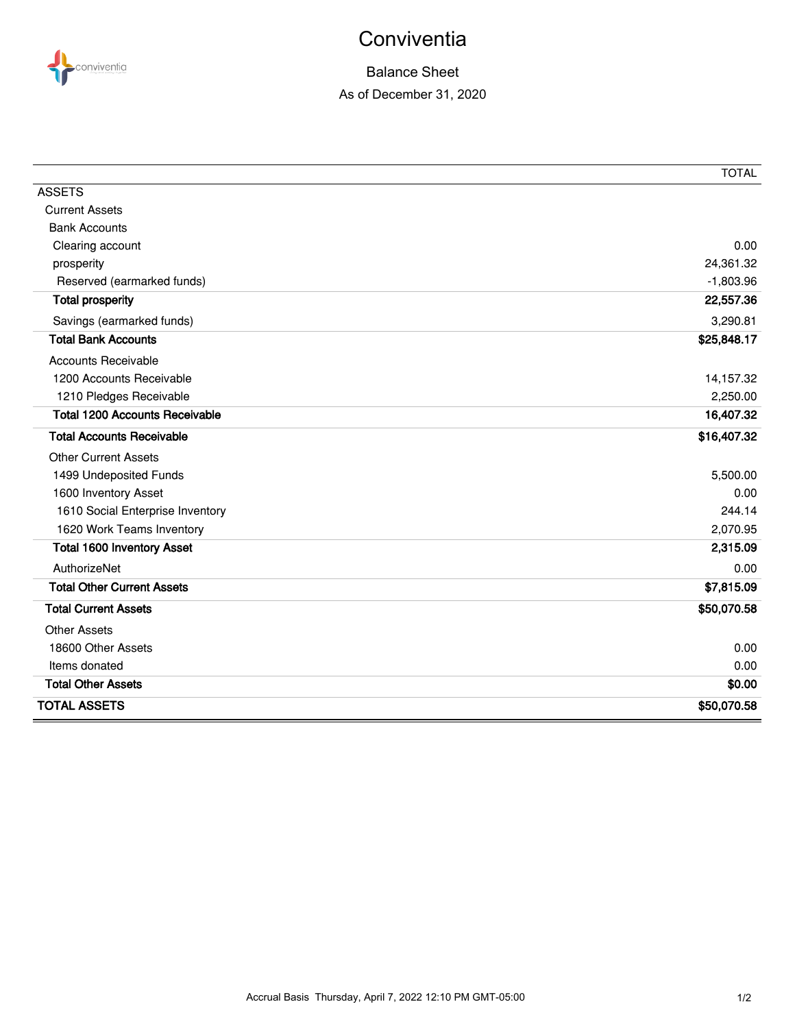

## **Conviventia**

## Balance Sheet As of December 31, 2020

|                                       | <b>TOTAL</b> |
|---------------------------------------|--------------|
| <b>ASSETS</b>                         |              |
| <b>Current Assets</b>                 |              |
| <b>Bank Accounts</b>                  |              |
| Clearing account                      | 0.00         |
| prosperity                            | 24,361.32    |
| Reserved (earmarked funds)            | $-1,803.96$  |
| <b>Total prosperity</b>               | 22,557.36    |
| Savings (earmarked funds)             | 3,290.81     |
| <b>Total Bank Accounts</b>            | \$25,848.17  |
| <b>Accounts Receivable</b>            |              |
| 1200 Accounts Receivable              | 14,157.32    |
| 1210 Pledges Receivable               | 2,250.00     |
| <b>Total 1200 Accounts Receivable</b> | 16,407.32    |
| <b>Total Accounts Receivable</b>      | \$16,407.32  |
| <b>Other Current Assets</b>           |              |
| 1499 Undeposited Funds                | 5,500.00     |
| 1600 Inventory Asset                  | 0.00         |
| 1610 Social Enterprise Inventory      | 244.14       |
| 1620 Work Teams Inventory             | 2,070.95     |
| <b>Total 1600 Inventory Asset</b>     | 2,315.09     |
| AuthorizeNet                          | 0.00         |
| <b>Total Other Current Assets</b>     | \$7,815.09   |
| <b>Total Current Assets</b>           | \$50,070.58  |
| <b>Other Assets</b>                   |              |
| 18600 Other Assets                    | 0.00         |
| Items donated                         | 0.00         |
| <b>Total Other Assets</b>             | \$0.00       |
| <b>TOTAL ASSETS</b>                   | \$50,070.58  |